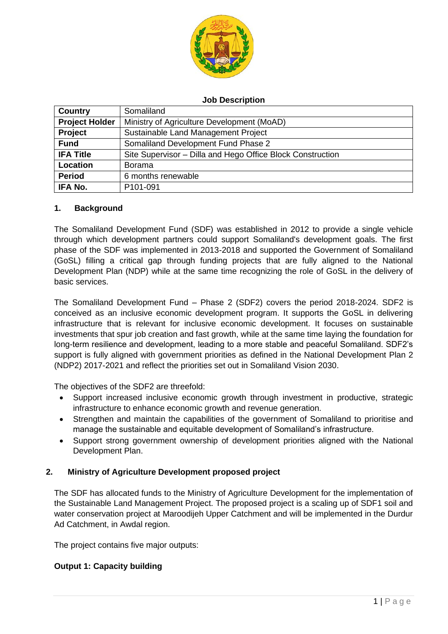

#### **Job Description**

| <b>Country</b>        | Somaliland                                                 |
|-----------------------|------------------------------------------------------------|
| <b>Project Holder</b> | Ministry of Agriculture Development (MoAD)                 |
| Project               | Sustainable Land Management Project                        |
| <b>Fund</b>           | Somaliland Development Fund Phase 2                        |
| <b>IFA Title</b>      | Site Supervisor – Dilla and Hego Office Block Construction |
| Location              | <b>Borama</b>                                              |
| <b>Period</b>         | 6 months renewable                                         |
| IFA No.               | P101-091                                                   |

#### **1. Background**

The Somaliland Development Fund (SDF) was established in 2012 to provide a single vehicle through which development partners could support Somaliland's development goals. The first phase of the SDF was implemented in 2013-2018 and supported the Government of Somaliland (GoSL) filling a critical gap through funding projects that are fully aligned to the National Development Plan (NDP) while at the same time recognizing the role of GoSL in the delivery of basic services.

The Somaliland Development Fund – Phase 2 (SDF2) covers the period 2018-2024. SDF2 is conceived as an inclusive economic development program. It supports the GoSL in delivering infrastructure that is relevant for inclusive economic development. It focuses on sustainable investments that spur job creation and fast growth, while at the same time laying the foundation for long-term resilience and development, leading to a more stable and peaceful Somaliland. SDF2's support is fully aligned with government priorities as defined in the National Development Plan 2 (NDP2) 2017-2021 and reflect the priorities set out in Somaliland Vision 2030.

The objectives of the SDF2 are threefold:

- Support increased inclusive economic growth through investment in productive, strategic infrastructure to enhance economic growth and revenue generation.
- Strengthen and maintain the capabilities of the government of Somaliland to prioritise and manage the sustainable and equitable development of Somaliland's infrastructure.
- Support strong government ownership of development priorities aligned with the National Development Plan.

# **2. Ministry of Agriculture Development proposed project**

The SDF has allocated funds to the Ministry of Agriculture Development for the implementation of the Sustainable Land Management Project. The proposed project is a scaling up of SDF1 soil and water conservation project at Maroodijeh Upper Catchment and will be implemented in the Durdur Ad Catchment, in Awdal region.

The project contains five major outputs:

#### **Output 1: Capacity building**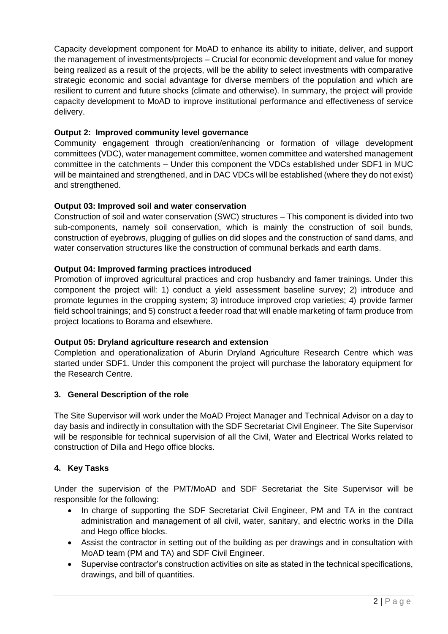Capacity development component for MoAD to enhance its ability to initiate, deliver, and support the management of investments/projects – Crucial for economic development and value for money being realized as a result of the projects, will be the ability to select investments with comparative strategic economic and social advantage for diverse members of the population and which are resilient to current and future shocks (climate and otherwise). In summary, the project will provide capacity development to MoAD to improve institutional performance and effectiveness of service delivery.

### **Output 2: Improved community level governance**

Community engagement through creation/enhancing or formation of village development committees (VDC), water management committee, women committee and watershed management committee in the catchments – Under this component the VDCs established under SDF1 in MUC will be maintained and strengthened, and in DAC VDCs will be established (where they do not exist) and strengthened.

#### **Output 03: Improved soil and water conservation**

Construction of soil and water conservation (SWC) structures – This component is divided into two sub-components, namely soil conservation, which is mainly the construction of soil bunds, construction of eyebrows, plugging of gullies on did slopes and the construction of sand dams, and water conservation structures like the construction of communal berkads and earth dams.

### **Output 04: Improved farming practices introduced**

Promotion of improved agricultural practices and crop husbandry and famer trainings. Under this component the project will: 1) conduct a yield assessment baseline survey; 2) introduce and promote legumes in the cropping system; 3) introduce improved crop varieties; 4) provide farmer field school trainings; and 5) construct a feeder road that will enable marketing of farm produce from project locations to Borama and elsewhere.

#### **Output 05: Dryland agriculture research and extension**

Completion and operationalization of Aburin Dryland Agriculture Research Centre which was started under SDF1. Under this component the project will purchase the laboratory equipment for the Research Centre.

#### **3. General Description of the role**

The Site Supervisor will work under the MoAD Project Manager and Technical Advisor on a day to day basis and indirectly in consultation with the SDF Secretariat Civil Engineer. The Site Supervisor will be responsible for technical supervision of all the Civil, Water and Electrical Works related to construction of Dilla and Hego office blocks.

#### **4. Key Tasks**

Under the supervision of the PMT/MoAD and SDF Secretariat the Site Supervisor will be responsible for the following:

- In charge of supporting the SDF Secretariat Civil Engineer, PM and TA in the contract administration and management of all civil, water, sanitary, and electric works in the Dilla and Hego office blocks.
- Assist the contractor in setting out of the building as per drawings and in consultation with MoAD team (PM and TA) and SDF Civil Engineer.
- Supervise contractor's construction activities on site as stated in the technical specifications, drawings, and bill of quantities.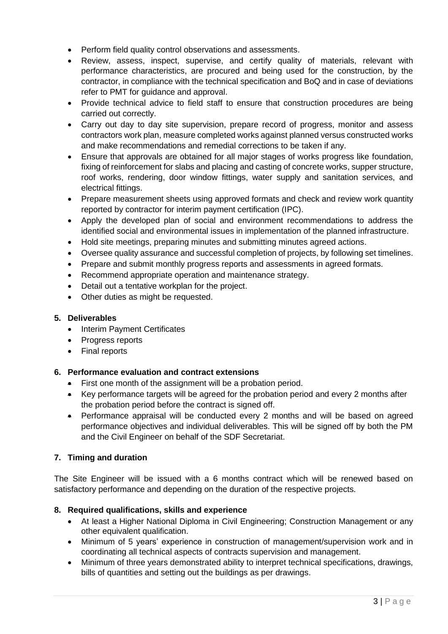- Perform field quality control observations and assessments.
- Review, assess, inspect, supervise, and certify quality of materials, relevant with performance characteristics, are procured and being used for the construction, by the contractor, in compliance with the technical specification and BoQ and in case of deviations refer to PMT for guidance and approval.
- Provide technical advice to field staff to ensure that construction procedures are being carried out correctly.
- Carry out day to day site supervision, prepare record of progress, monitor and assess contractors work plan, measure completed works against planned versus constructed works and make recommendations and remedial corrections to be taken if any.
- Ensure that approvals are obtained for all major stages of works progress like foundation, fixing of reinforcement for slabs and placing and casting of concrete works, supper structure, roof works, rendering, door window fittings, water supply and sanitation services, and electrical fittings.
- Prepare measurement sheets using approved formats and check and review work quantity reported by contractor for interim payment certification (IPC).
- Apply the developed plan of social and environment recommendations to address the identified social and environmental issues in implementation of the planned infrastructure.
- Hold site meetings, preparing minutes and submitting minutes agreed actions.
- Oversee quality assurance and successful completion of projects, by following set timelines.
- Prepare and submit monthly progress reports and assessments in agreed formats.
- Recommend appropriate operation and maintenance strategy.
- Detail out a tentative workplan for the project.
- Other duties as might be requested.

#### **5. Deliverables**

- Interim Payment Certificates
- Progress reports
- Final reports

# **6. Performance evaluation and contract extensions**

- First one month of the assignment will be a probation period.
- Key performance targets will be agreed for the probation period and every 2 months after the probation period before the contract is signed off.
- Performance appraisal will be conducted every 2 months and will be based on agreed performance objectives and individual deliverables. This will be signed off by both the PM and the Civil Engineer on behalf of the SDF Secretariat.

# **7. Timing and duration**

The Site Engineer will be issued with a 6 months contract which will be renewed based on satisfactory performance and depending on the duration of the respective projects.

# **8. Required qualifications, skills and experience**

- At least a Higher National Diploma in Civil Engineering; Construction Management or any other equivalent qualification.
- Minimum of 5 years' experience in construction of management/supervision work and in coordinating all technical aspects of contracts supervision and management.
- Minimum of three years demonstrated ability to interpret technical specifications, drawings, bills of quantities and setting out the buildings as per drawings.